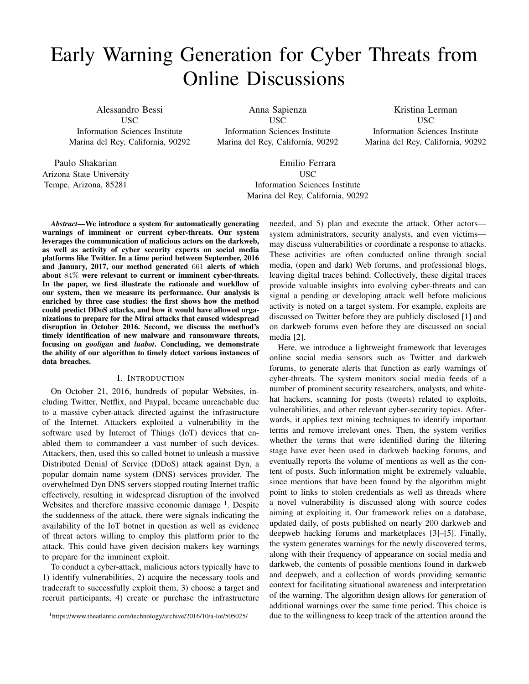# Early Warning Generation for Cyber Threats from Online Discussions

Alessandro Bessi USC Information Sciences Institute Marina del Rey, California, 90292

Paulo Shakarian Arizona State University Tempe, Arizona, 85281

Anna Sapienza USC Information Sciences Institute Marina del Rey, California, 90292

Kristina Lerman USC Information Sciences Institute Marina del Rey, California, 90292

Emilio Ferrara **USC** Information Sciences Institute Marina del Rey, California, 90292

*Abstract*—We introduce a system for automatically generating warnings of imminent or current cyber-threats. Our system leverages the communication of malicious actors on the darkweb, as well as activity of cyber security experts on social media platforms like Twitter. In a time period between September, 2016 and January, 2017, our method generated 661 alerts of which about 84% were relevant to current or imminent cyber-threats. In the paper, we first illustrate the rationale and workflow of our system, then we measure its performance. Our analysis is enriched by three case studies: the first shows how the method could predict DDoS attacks, and how it would have allowed organizations to prepare for the Mirai attacks that caused widespread disruption in October 2016. Second, we discuss the method's timely identification of new malware and ransomware threats, focusing on *gooligan* and *luabot*. Concluding, we demonstrate the ability of our algorithm to timely detect various instances of data breaches.

#### I. INTRODUCTION

On October 21, 2016, hundreds of popular Websites, including Twitter, Netflix, and Paypal, became unreachable due to a massive cyber-attack directed against the infrastructure of the Internet. Attackers exploited a vulnerability in the software used by Internet of Things (IoT) devices that enabled them to commandeer a vast number of such devices. Attackers, then, used this so called botnet to unleash a massive Distributed Denial of Service (DDoS) attack against Dyn, a popular domain name system (DNS) services provider. The overwhelmed Dyn DNS servers stopped routing Internet traffic effectively, resulting in widespread disruption of the involved Websites and therefore massive economic damage <sup>1</sup>. Despite the suddenness of the attack, there were signals indicating the availability of the IoT botnet in question as well as evidence of threat actors willing to employ this platform prior to the attack. This could have given decision makers key warnings to prepare for the imminent exploit.

To conduct a cyber-attack, malicious actors typically have to 1) identify vulnerabilities, 2) acquire the necessary tools and tradecraft to successfully exploit them, 3) choose a target and recruit participants, 4) create or purchase the infrastructure

<sup>1</sup>https://www.theatlantic.com/technology/archive/2016/10/a-lot/505025/

needed, and 5) plan and execute the attack. Other actors system administrators, security analysts, and even victims may discuss vulnerabilities or coordinate a response to attacks. These activities are often conducted online through social media, (open and dark) Web forums, and professional blogs, leaving digital traces behind. Collectively, these digital traces provide valuable insights into evolving cyber-threats and can signal a pending or developing attack well before malicious activity is noted on a target system. For example, exploits are discussed on Twitter before they are publicly disclosed [1] and on darkweb forums even before they are discussed on social media [2].

Here, we introduce a lightweight framework that leverages online social media sensors such as Twitter and darkweb forums, to generate alerts that function as early warnings of cyber-threats. The system monitors social media feeds of a number of prominent security researchers, analysts, and whitehat hackers, scanning for posts (tweets) related to exploits, vulnerabilities, and other relevant cyber-security topics. Afterwards, it applies text mining techniques to identify important terms and remove irrelevant ones. Then, the system verifies whether the terms that were identified during the filtering stage have ever been used in darkweb hacking forums, and eventually reports the volume of mentions as well as the content of posts. Such information might be extremely valuable, since mentions that have been found by the algorithm might point to links to stolen credentials as well as threads where a novel vulnerability is discussed along with source codes aiming at exploiting it. Our framework relies on a database, updated daily, of posts published on nearly 200 darkweb and deepweb hacking forums and marketplaces [3]–[5]. Finally, the system generates warnings for the newly discovered terms, along with their frequency of appearance on social media and darkweb, the contents of possible mentions found in darkweb and deepweb, and a collection of words providing semantic context for facilitating situational awareness and interpretation of the warning. The algorithm design allows for generation of additional warnings over the same time period. This choice is due to the willingness to keep track of the attention around the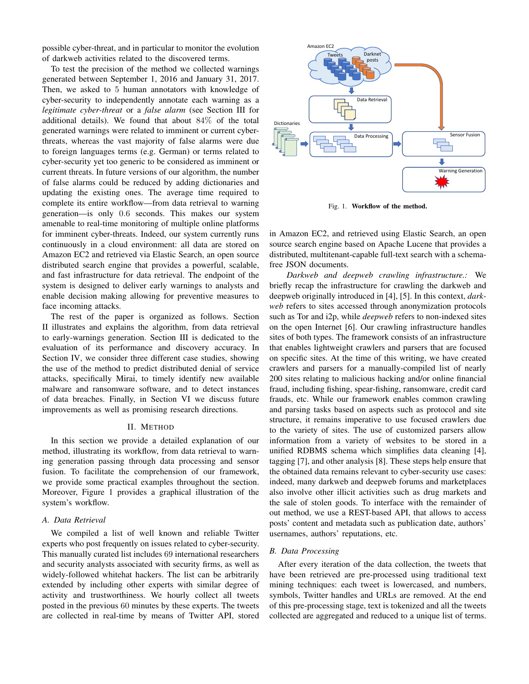possible cyber-threat, and in particular to monitor the evolution of darkweb activities related to the discovered terms.

To test the precision of the method we collected warnings generated between September 1, 2016 and January 31, 2017. Then, we asked to 5 human annotators with knowledge of cyber-security to independently annotate each warning as a *legitimate cyber-threat* or a *false alarm* (see Section III for additional details). We found that about 84% of the total generated warnings were related to imminent or current cyberthreats, whereas the vast majority of false alarms were due to foreign languages terms (e.g. German) or terms related to cyber-security yet too generic to be considered as imminent or current threats. In future versions of our algorithm, the number of false alarms could be reduced by adding dictionaries and updating the existing ones. The average time required to complete its entire workflow—from data retrieval to warning generation—is only 0.6 seconds. This makes our system amenable to real-time monitoring of multiple online platforms for imminent cyber-threats. Indeed, our system currently runs continuously in a cloud environment: all data are stored on Amazon EC2 and retrieved via Elastic Search, an open source distributed search engine that provides a powerful, scalable, and fast infrastructure for data retrieval. The endpoint of the system is designed to deliver early warnings to analysts and enable decision making allowing for preventive measures to face incoming attacks.

The rest of the paper is organized as follows. Section II illustrates and explains the algorithm, from data retrieval to early-warnings generation. Section III is dedicated to the evaluation of its performance and discovery accuracy. In Section IV, we consider three different case studies, showing the use of the method to predict distributed denial of service attacks, specifically Mirai, to timely identify new available malware and ransomware software, and to detect instances of data breaches. Finally, in Section VI we discuss future improvements as well as promising research directions.

## II. METHOD

In this section we provide a detailed explanation of our method, illustrating its workflow, from data retrieval to warning generation passing through data processing and sensor fusion. To facilitate the comprehension of our framework, we provide some practical examples throughout the section. Moreover, Figure 1 provides a graphical illustration of the system's workflow.

#### *A. Data Retrieval*

We compiled a list of well known and reliable Twitter experts who post frequently on issues related to cyber-security. This manually curated list includes 69 international researchers and security analysts associated with security firms, as well as widely-followed whitehat hackers. The list can be arbitrarily extended by including other experts with similar degree of activity and trustworthiness. We hourly collect all tweets posted in the previous 60 minutes by these experts. The tweets are collected in real-time by means of Twitter API, stored



Fig. 1. Workflow of the method.

in Amazon EC2, and retrieved using Elastic Search, an open source search engine based on Apache Lucene that provides a distributed, multitenant-capable full-text search with a schemafree JSON documents.

*Darkweb and deepweb crawling infrastructure.:* We briefly recap the infrastructure for crawling the darkweb and deepweb originally introduced in [4], [5]. In this context, *darkweb* refers to sites accessed through anonymization protocols such as Tor and i2p, while *deepweb* refers to non-indexed sites on the open Internet [6]. Our crawling infrastructure handles sites of both types. The framework consists of an infrastructure that enables lightweight crawlers and parsers that are focused on specific sites. At the time of this writing, we have created crawlers and parsers for a manually-compiled list of nearly 200 sites relating to malicious hacking and/or online financial fraud, including fishing, spear-fishing, ransomware, credit card frauds, etc. While our framework enables common crawling and parsing tasks based on aspects such as protocol and site structure, it remains imperative to use focused crawlers due to the variety of sites. The use of customized parsers allow information from a variety of websites to be stored in a unified RDBMS schema which simplifies data cleaning [4], tagging [7], and other analysis [8]. These steps help ensure that the obtained data remains relevant to cyber-security use cases: indeed, many darkweb and deepweb forums and marketplaces also involve other illicit activities such as drug markets and the sale of stolen goods. To interface with the remainder of out method, we use a REST-based API, that allows to access posts' content and metadata such as publication date, authors' usernames, authors' reputations, etc.

## *B. Data Processing*

After every iteration of the data collection, the tweets that have been retrieved are pre-processed using traditional text mining techniques: each tweet is lowercased, and numbers, symbols, Twitter handles and URLs are removed. At the end of this pre-processing stage, text is tokenized and all the tweets collected are aggregated and reduced to a unique list of terms.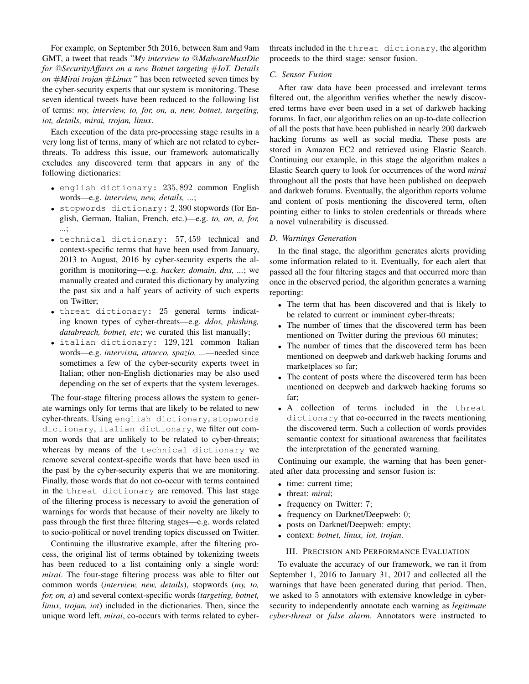For example, on September 5th 2016, between 8am and 9am GMT, a tweet that reads "*My interview to* @*MalwareMustDie for* @*SecurityAffairs on a new Botnet targeting* #*IoT. Details on*  $#M$ *irai trojan*  $#Linux$  " has been retweeted seven times by the cyber-security experts that our system is monitoring. These seven identical tweets have been reduced to the following list of terms: *my, interview, to, for, on, a, new, botnet, targeting, iot, details, mirai, trojan, linux*.

Each execution of the data pre-processing stage results in a very long list of terms, many of which are not related to cyberthreats. To address this issue, our framework automatically excludes any discovered term that appears in any of the following dictionaries:

- english dictionary: 235, 892 common English words—e.g. *interview, new, details, ...*;
- stopwords dictionary: 2, 390 stopwords (for English, German, Italian, French, etc.)—e.g. *to, on, a, for, ...*;
- technical dictionary: 57, 459 technical and context-specific terms that have been used from January, 2013 to August, 2016 by cyber-security experts the algorithm is monitoring—e.g. *hacker, domain, dns, ...*; we manually created and curated this dictionary by analyzing the past six and a half years of activity of such experts on Twitter;
- threat dictionary: 25 general terms indicating known types of cyber-threats—e.g. *ddos, phishing, databreach, botnet, etc*; we curated this list manually;
- italian dictionary: 129, 121 common Italian words—e.g. *intervista, attacco, spazio, ...*—needed since sometimes a few of the cyber-security experts tweet in Italian; other non-English dictionaries may be also used depending on the set of experts that the system leverages.

The four-stage filtering process allows the system to generate warnings only for terms that are likely to be related to new cyber-threats. Using english dictionary, stopwords dictionary, italian dictionary, we filter out common words that are unlikely to be related to cyber-threats; whereas by means of the technical dictionary we remove several context-specific words that have been used in the past by the cyber-security experts that we are monitoring. Finally, those words that do not co-occur with terms contained in the threat dictionary are removed. This last stage of the filtering process is necessary to avoid the generation of warnings for words that because of their novelty are likely to pass through the first three filtering stages—e.g. words related to socio-political or novel trending topics discussed on Twitter.

Continuing the illustrative example, after the filtering process, the original list of terms obtained by tokenizing tweets has been reduced to a list containing only a single word: *mirai*. The four-stage filtering process was able to filter out common words (*interview, new, details*), stopwords (*my, to, for, on, a*) and several context-specific words (*targeting, botnet, linux, trojan, iot*) included in the dictionaries. Then, since the unique word left, *mirai*, co-occurs with terms related to cyberthreats included in the threat dictionary, the algorithm proceeds to the third stage: sensor fusion.

#### *C. Sensor Fusion*

After raw data have been processed and irrelevant terms filtered out, the algorithm verifies whether the newly discovered terms have ever been used in a set of darkweb hacking forums. In fact, our algorithm relies on an up-to-date collection of all the posts that have been published in nearly 200 darkweb hacking forums as well as social media. These posts are stored in Amazon EC2 and retrieved using Elastic Search. Continuing our example, in this stage the algorithm makes a Elastic Search query to look for occurrences of the word *mirai* throughout all the posts that have been published on deepweb and darkweb forums. Eventually, the algorithm reports volume and content of posts mentioning the discovered term, often pointing either to links to stolen credentials or threads where a novel vulnerability is discussed.

#### *D. Warnings Generation*

In the final stage, the algorithm generates alerts providing some information related to it. Eventually, for each alert that passed all the four filtering stages and that occurred more than once in the observed period, the algorithm generates a warning reporting:

- The term that has been discovered and that is likely to be related to current or imminent cyber-threats;
- The number of times that the discovered term has been mentioned on Twitter during the previous 60 minutes;
- The number of times that the discovered term has been mentioned on deepweb and darkweb hacking forums and marketplaces so far;
- The content of posts where the discovered term has been mentioned on deepweb and darkweb hacking forums so far;
- A collection of terms included in the threat dictionary that co-occurred in the tweets mentioning the discovered term. Such a collection of words provides semantic context for situational awareness that facilitates the interpretation of the generated warning.

Continuing our example, the warning that has been generated after data processing and sensor fusion is:

- time: current time;
- threat: *mirai*;
- frequency on Twitter: 7;
- frequency on Darknet/Deepweb: 0;
- posts on Darknet/Deepweb: empty;
- context: *botnet, linux, iot, trojan*.

## III. PRECISION AND PERFORMANCE EVALUATION

To evaluate the accuracy of our framework, we ran it from September 1, 2016 to January 31, 2017 and collected all the warnings that have been generated during that period. Then, we asked to 5 annotators with extensive knowledge in cybersecurity to independently annotate each warning as *legitimate cyber-threat* or *false alarm*. Annotators were instructed to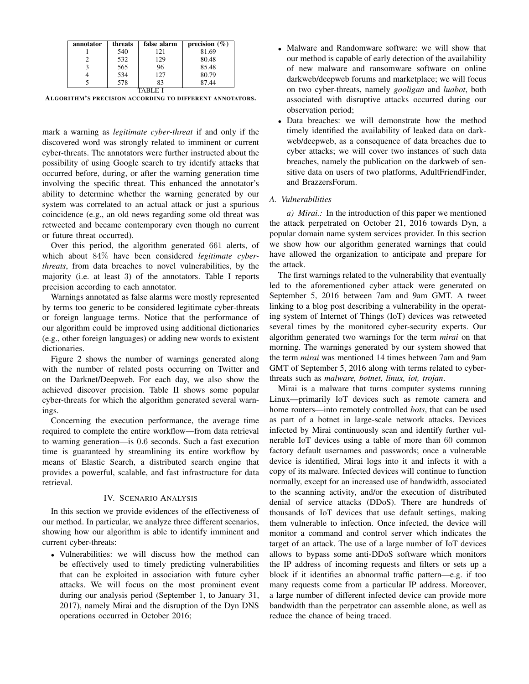| annotator | threats | false alarm | precision $(\% )$ |  |  |  |
|-----------|---------|-------------|-------------------|--|--|--|
|           | 540     | 121         | 81.69             |  |  |  |
|           | 532     | 129         | 80.48             |  |  |  |
|           | 565     | 96          | 85.48             |  |  |  |
|           | 534     | 127         | 80.79             |  |  |  |
|           | 578     | 83          | 87.44             |  |  |  |
|           |         |             |                   |  |  |  |

ALGORITHM'S PRECISION ACCORDING TO DIFFERENT ANNOTATORS.

mark a warning as *legitimate cyber-threat* if and only if the discovered word was strongly related to imminent or current cyber-threats. The annotators were further instructed about the possibility of using Google search to try identify attacks that occurred before, during, or after the warning generation time involving the specific threat. This enhanced the annotator's ability to determine whether the warning generated by our system was correlated to an actual attack or just a spurious coincidence (e.g., an old news regarding some old threat was retweeted and became contemporary even though no current or future threat occurred).

Over this period, the algorithm generated 661 alerts, of which about 84% have been considered *legitimate cyberthreats*, from data breaches to novel vulnerabilities, by the majority (i.e. at least 3) of the annotators. Table I reports precision according to each annotator.

Warnings annotated as false alarms were mostly represented by terms too generic to be considered legitimate cyber-threats or foreign language terms. Notice that the performance of our algorithm could be improved using additional dictionaries (e.g., other foreign languages) or adding new words to existent dictionaries.

Figure 2 shows the number of warnings generated along with the number of related posts occurring on Twitter and on the Darknet/Deepweb. For each day, we also show the achieved discover precision. Table II shows some popular cyber-threats for which the algorithm generated several warnings.

Concerning the execution performance, the average time required to complete the entire workflow—from data retrieval to warning generation—is 0.6 seconds. Such a fast execution time is guaranteed by streamlining its entire workflow by means of Elastic Search, a distributed search engine that provides a powerful, scalable, and fast infrastructure for data retrieval.

#### IV. SCENARIO ANALYSIS

In this section we provide evidences of the effectiveness of our method. In particular, we analyze three different scenarios, showing how our algorithm is able to identify imminent and current cyber-threats:

• Vulnerabilities: we will discuss how the method can be effectively used to timely predicting vulnerabilities that can be exploited in association with future cyber attacks. We will focus on the most prominent event during our analysis period (September 1, to January 31, 2017), namely Mirai and the disruption of the Dyn DNS operations occurred in October 2016;

- Malware and Randomware software: we will show that our method is capable of early detection of the availability of new malware and ransomware software on online darkweb/deepweb forums and marketplace; we will focus on two cyber-threats, namely *gooligan* and *luabot*, both associated with disruptive attacks occurred during our observation period;
- Data breaches: we will demonstrate how the method timely identified the availability of leaked data on darkweb/deepweb, as a consequence of data breaches due to cyber attacks; we will cover two instances of such data breaches, namely the publication on the darkweb of sensitive data on users of two platforms, AdultFriendFinder, and BrazzersForum.

#### *A. Vulnerabilities*

*a) Mirai.:* In the introduction of this paper we mentioned the attack perpetrated on October 21, 2016 towards Dyn, a popular domain name system services provider. In this section we show how our algorithm generated warnings that could have allowed the organization to anticipate and prepare for the attack.

The first warnings related to the vulnerability that eventually led to the aforementioned cyber attack were generated on September 5, 2016 between 7am and 9am GMT. A tweet linking to a blog post describing a vulnerability in the operating system of Internet of Things (IoT) devices was retweeted several times by the monitored cyber-security experts. Our algorithm generated two warnings for the term *mirai* on that morning. The warnings generated by our system showed that the term *mirai* was mentioned 14 times between 7am and 9am GMT of September 5, 2016 along with terms related to cyberthreats such as *malware, botnet, linux, iot, trojan*.

Mirai is a malware that turns computer systems running Linux—primarily IoT devices such as remote camera and home routers—into remotely controlled *bots*, that can be used as part of a botnet in large-scale network attacks. Devices infected by Mirai continuously scan and identify further vulnerable IoT devices using a table of more than 60 common factory default usernames and passwords; once a vulnerable device is identified, Mirai logs into it and infects it with a copy of its malware. Infected devices will continue to function normally, except for an increased use of bandwidth, associated to the scanning activity, and/or the execution of distributed denial of service attacks (DDoS). There are hundreds of thousands of IoT devices that use default settings, making them vulnerable to infection. Once infected, the device will monitor a command and control server which indicates the target of an attack. The use of a large number of IoT devices allows to bypass some anti-DDoS software which monitors the IP address of incoming requests and filters or sets up a block if it identifies an abnormal traffic pattern—e.g. if too many requests come from a particular IP address. Moreover, a large number of different infected device can provide more bandwidth than the perpetrator can assemble alone, as well as reduce the chance of being traced.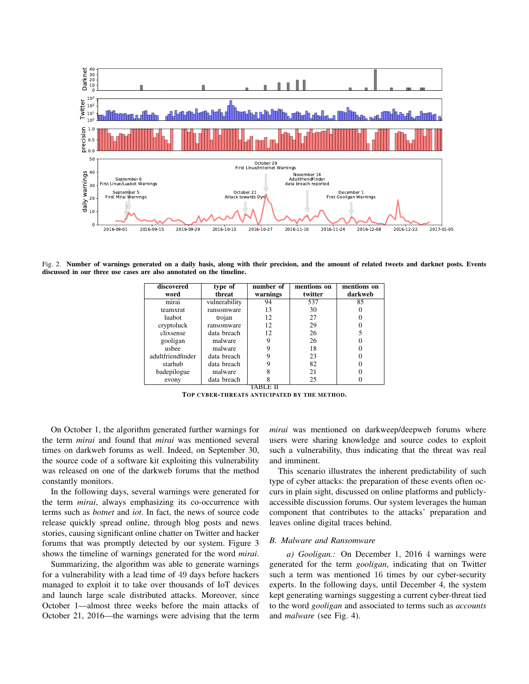

Fig. 2. Number of warnings generated on a daily basis, along with their precision, and the amount of related tweets and darknet posts. Events discussed in our three use cases are also annotated on the timeline.

| discovered        | type of       | number of | mentions on | mentions on |
|-------------------|---------------|-----------|-------------|-------------|
| word              | threat        | warnings  | twitter     | darkweb     |
| mirai             | vulnerability | 94        | 537         | 85          |
| teamxrat          | ransomware    | 13        | 30          |             |
| luabot.           | trojan        | 12        | 27          |             |
| cryptoluck        | ransomware    | 12        | 29          |             |
| clixsense         | data breach   | 12        | 26          |             |
| gooligan          | malware       |           | 26          |             |
| usbee             | malware       |           | 18          |             |
| adultfriendfinder | data breach   |           | 23          |             |
| starhub           | data breach   |           | 82          |             |
| badepilogue       | malware       |           | 21          |             |
| evony             | data breach   |           | 25          |             |

TABLE II TOP CYBER-THREATS ANTICIPATED BY THE METHOD.

On October 1, the algorithm generated further warnings for the term *mirai* and found that *mirai* was mentioned several times on darkweb forums as well. Indeed, on September 30, the source code of a software kit exploiting this vulnerability was released on one of the darkweb forums that the method constantly monitors.

In the following days, several warnings were generated for the term *mirai*, always emphasizing its co-occurrence with terms such as *botnet* and *iot*. In fact, the news of source code release quickly spread online, through blog posts and news stories, causing significant online chatter on Twitter and hacker forums that was promptly detected by our system. Figure 3 shows the timeline of warnings generated for the word *mirai*.

Summarizing, the algorithm was able to generate warnings for a vulnerability with a lead time of 49 days before hackers managed to exploit it to take over thousands of IoT devices and launch large scale distributed attacks. Moreover, since October 1—almost three weeks before the main attacks of October 21, 2016—the warnings were advising that the term *mirai* was mentioned on darkweep/deepweb forums where users were sharing knowledge and source codes to exploit such a vulnerability, thus indicating that the threat was real and imminent.

This scenario illustrates the inherent predictability of such type of cyber attacks: the preparation of these events often occurs in plain sight, discussed on online platforms and publiclyaccessible discussion forums. Our system leverages the human component that contributes to the attacks' preparation and leaves online digital traces behind.

### *B. Malware and Ransomware*

*a) Gooligan.:* On December 1, 2016 4 warnings were generated for the term *gooligan*, indicating that on Twitter such a term was mentioned 16 times by our cyber-security experts. In the following days, until December 4, the system kept generating warnings suggesting a current cyber-threat tied to the word *gooligan* and associated to terms such as *accounts* and *malware* (see Fig. 4).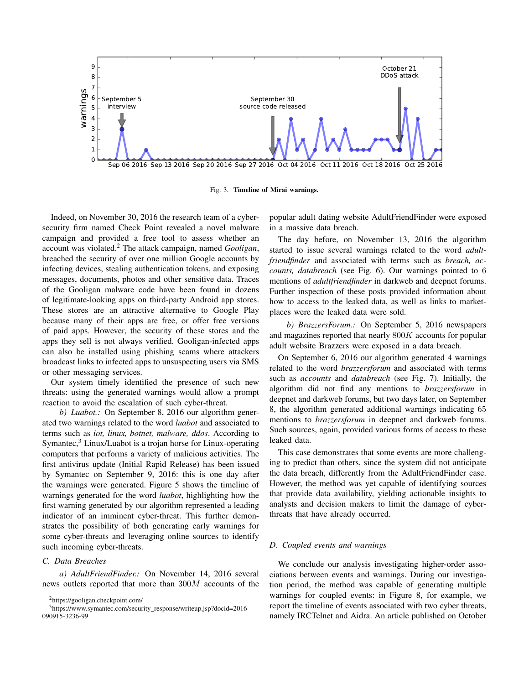

Fig. 3. Timeline of Mirai warnings.

Indeed, on November 30, 2016 the research team of a cybersecurity firm named Check Point revealed a novel malware campaign and provided a free tool to assess whether an account was violated.<sup>2</sup> The attack campaign, named *Gooligan*, breached the security of over one million Google accounts by infecting devices, stealing authentication tokens, and exposing messages, documents, photos and other sensitive data. Traces of the Gooligan malware code have been found in dozens of legitimate-looking apps on third-party Android app stores. These stores are an attractive alternative to Google Play because many of their apps are free, or offer free versions of paid apps. However, the security of these stores and the apps they sell is not always verified. Gooligan-infected apps can also be installed using phishing scams where attackers broadcast links to infected apps to unsuspecting users via SMS or other messaging services.

Our system timely identified the presence of such new threats: using the generated warnings would allow a prompt reaction to avoid the escalation of such cyber-threat.

*b) Luabot.:* On September 8, 2016 our algorithm generated two warnings related to the word *luabot* and associated to terms such as *iot, linux, botnet, malware, ddos*. According to Symantec,<sup>3</sup> Linux/Luabot is a trojan horse for Linux-operating computers that performs a variety of malicious activities. The first antivirus update (Initial Rapid Release) has been issued by Symantec on September 9, 2016: this is one day after the warnings were generated. Figure 5 shows the timeline of warnings generated for the word *luabot*, highlighting how the first warning generated by our algorithm represented a leading indicator of an imminent cyber-threat. This further demonstrates the possibility of both generating early warnings for some cyber-threats and leveraging online sources to identify such incoming cyber-threats.

## *C. Data Breaches*

*a) AdultFriendFinder.:* On November 14, 2016 several news outlets reported that more than 300M accounts of the popular adult dating website AdultFriendFinder were exposed in a massive data breach.

The day before, on November 13, 2016 the algorithm started to issue several warnings related to the word *adultfriendfinder* and associated with terms such as *breach, accounts, databreach* (see Fig. 6). Our warnings pointed to 6 mentions of *adultfriendfinder* in darkweb and deepnet forums. Further inspection of these posts provided information about how to access to the leaked data, as well as links to marketplaces were the leaked data were sold.

*b) BrazzersForum.:* On September 5, 2016 newspapers and magazines reported that nearly  $800K$  accounts for popular adult website Brazzers were exposed in a data breach.

On September 6, 2016 our algorithm generated 4 warnings related to the word *brazzersforum* and associated with terms such as *accounts* and *databreach* (see Fig. 7). Initially, the algorithm did not find any mentions to *brazzersforum* in deepnet and darkweb forums, but two days later, on September 8, the algorithm generated additional warnings indicating 65 mentions to *brazzersforum* in deepnet and darkweb forums. Such sources, again, provided various forms of access to these leaked data.

This case demonstrates that some events are more challenging to predict than others, since the system did not anticipate the data breach, differently from the AdultFriendFinder case. However, the method was yet capable of identifying sources that provide data availability, yielding actionable insights to analysts and decision makers to limit the damage of cyberthreats that have already occurred.

## *D. Coupled events and warnings*

We conclude our analysis investigating higher-order associations between events and warnings. During our investigation period, the method was capable of generating multiple warnings for coupled events: in Figure 8, for example, we report the timeline of events associated with two cyber threats, namely IRCTelnet and Aidra. An article published on October

<sup>2</sup>https://gooligan.checkpoint.com/

 $3$ https://www.symantec.com/security\_response/writeup.jsp?docid=2016-090915-3236-99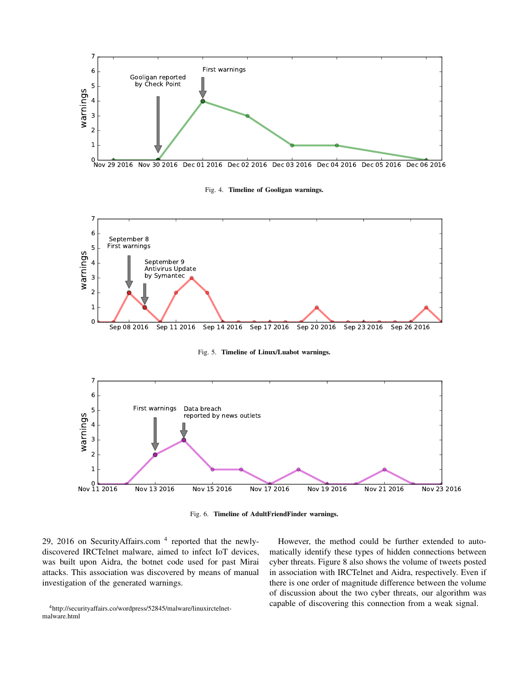

Nov 29 2016 Nov 30 2016 Dec 01 2016 Dec 02 2016 Dec 03 2016 Dec 04 2016 Dec 05 2016 Dec 06 2016

Fig. 4. Timeline of Gooligan warnings.



Fig. 5. Timeline of Linux/Luabot warnings.



Fig. 6. Timeline of AdultFriendFinder warnings.

29, 2016 on SecurityAffairs.com<sup>4</sup> reported that the newlydiscovered IRCTelnet malware, aimed to infect IoT devices, was built upon Aidra, the botnet code used for past Mirai attacks. This association was discovered by means of manual investigation of the generated warnings.

However, the method could be further extended to automatically identify these types of hidden connections between cyber threats. Figure 8 also shows the volume of tweets posted in association with IRCTelnet and Aidra, respectively. Even if there is one order of magnitude difference between the volume of discussion about the two cyber threats, our algorithm was capable of discovering this connection from a weak signal.

<sup>4</sup>http://securityaffairs.co/wordpress/52845/malware/linuxirctelnetmalware.html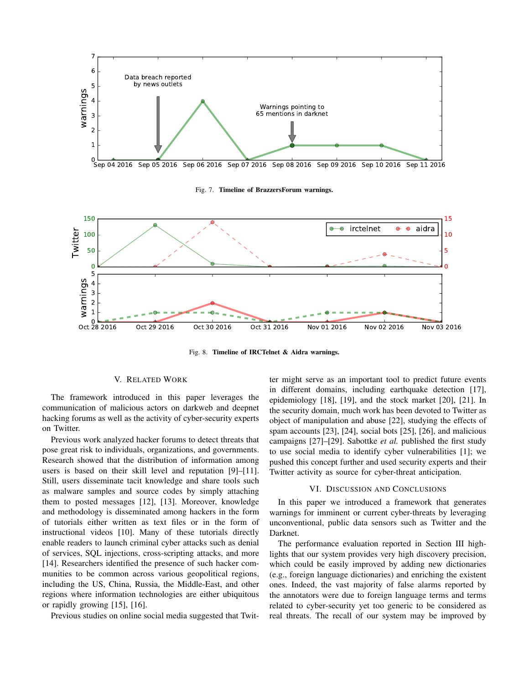

Sep 04 2016 Sep 05 2016 Sep 06 2016 Sep 07 2016 Sep 08 2016 Sep 09 2016 Sep 10 2016 Sep 11 2016 Sep 04 2016

Fig. 7. Timeline of BrazzersForum warnings.



Fig. 8. Timeline of IRCTelnet & Aidra warnings.

## V. RELATED WORK

The framework introduced in this paper leverages the communication of malicious actors on darkweb and deepnet hacking forums as well as the activity of cyber-security experts on Twitter.

Previous work analyzed hacker forums to detect threats that pose great risk to individuals, organizations, and governments. Research showed that the distribution of information among users is based on their skill level and reputation [9]–[11]. Still, users disseminate tacit knowledge and share tools such as malware samples and source codes by simply attaching them to posted messages [12], [13]. Moreover, knowledge and methodology is disseminated among hackers in the form of tutorials either written as text files or in the form of instructional videos [10]. Many of these tutorials directly enable readers to launch criminal cyber attacks such as denial of services, SQL injections, cross-scripting attacks, and more [14]. Researchers identified the presence of such hacker communities to be common across various geopolitical regions, including the US, China, Russia, the Middle-East, and other regions where information technologies are either ubiquitous or rapidly growing [15], [16].

Previous studies on online social media suggested that Twit-

ter might serve as an important tool to predict future events in different domains, including earthquake detection [17], epidemiology [18], [19], and the stock market [20], [21]. In the security domain, much work has been devoted to Twitter as object of manipulation and abuse [22], studying the effects of spam accounts [23], [24], social bots [25], [26], and malicious campaigns [27]–[29]. Sabottke *et al.* published the first study to use social media to identify cyber vulnerabilities [1]; we pushed this concept further and used security experts and their Twitter activity as source for cyber-threat anticipation.

#### VI. DISCUSSION AND CONCLUSIONS

In this paper we introduced a framework that generates warnings for imminent or current cyber-threats by leveraging unconventional, public data sensors such as Twitter and the Darknet.

The performance evaluation reported in Section III highlights that our system provides very high discovery precision, which could be easily improved by adding new dictionaries (e.g., foreign language dictionaries) and enriching the existent ones. Indeed, the vast majority of false alarms reported by the annotators were due to foreign language terms and terms related to cyber-security yet too generic to be considered as real threats. The recall of our system may be improved by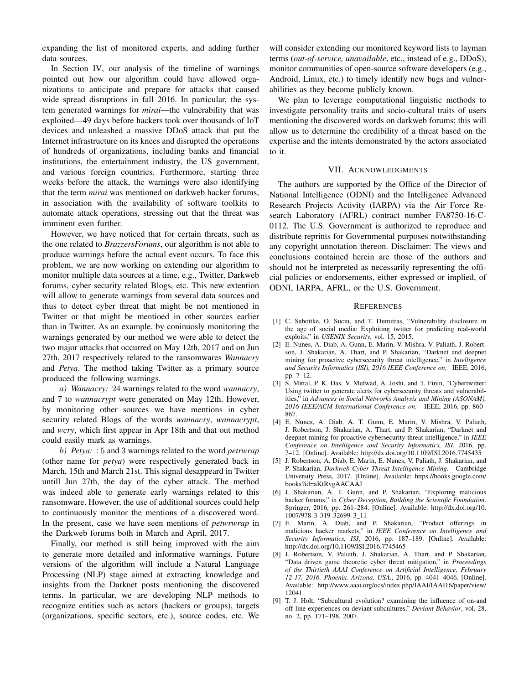expanding the list of monitored experts, and adding further data sources.

In Section IV, our analysis of the timeline of warnings pointed out how our algorithm could have allowed organizations to anticipate and prepare for attacks that caused wide spread disruptions in fall 2016. In particular, the system generated warnings for *mirai*—the vulnerability that was exploited—49 days before hackers took over thousands of IoT devices and unleashed a massive DDoS attack that put the Internet infrastructure on its knees and disrupted the operations of hundreds of organizations, including banks and financial institutions, the entertainment industry, the US government, and various foreign countries. Furthermore, starting three weeks before the attack, the warnings were also identifying that the term *mirai* was mentioned on darkweb hacker forums, in association with the availability of software toolkits to automate attack operations, stressing out that the threat was imminent even further.

However, we have noticed that for certain threats, such as the one related to *BrazzersForums*, our algorithm is not able to produce warnings before the actual event occurs. To face this problem, we are now working on extending our algorithm to monitor multiple data sources at a time, e.g., Twitter, Darkweb forums, cyber security related Blogs, etc. This new extention will allow to generate warnings from several data sources and thus to detect cyber threat that might be not mentioned in Twitter or that might be mentioed in other sources earlier than in Twitter. As an example, by coninuosly monitoring the warnings generated by our method we were able to detect the two major attacks that occurred on May 12th, 2017 and on Jun 27th, 2017 respectively related to the ransomwares *Wannacry* and *Petya*. The method taking Twitter as a primary source produced the following warnings.

*a) Wannacry:* 24 warnings related to the word *wannacry*, and 7 to *wannacrypt* were generated on May 12th. However, by monitoring other sources we have mentions in cyber security related Blogs of the words *wannacry*, *wannacrypt*, and *wcry*, which first appear in Apr 18th and that out method could easily mark as warnings.

*b) Petya:* : 5 and 3 warnings related to the word *petrwrap* (other name for *petya*) were respectively generated back in March, 15th and March 21st. This signal desappeard in Twitter untill Jun 27th, the day of the cyber attack. The method was indeed able to generate early warnings related to this ransomware. However, the use of additional sources could help to continuously monitor the mentions of a discovered word. In the present, case we have seen mentions of *petwrwrap* in the Darkweb forums both in March and April, 2017.

Finally, our method is still being improved with the aim to generate more detailed and informative warnings. Future versions of the algorithm will include a Natural Language Processing (NLP) stage aimed at extracting knowledge and insights from the Darknet posts mentioning the discovered terms. In particular, we are developing NLP methods to recognize entities such as actors (hackers or groups), targets (organizations, specific sectors, etc.), source codes, etc. We will consider extending our monitored keyword lists to layman terms (*out-of-service, unavailable*, etc., instead of e.g., DDoS), monitor communities of open-source software developers (e.g., Android, Linux, etc.) to timely identify new bugs and vulnerabilities as they become publicly known.

We plan to leverage computational linguistic methods to investigate personality traits and socio-cultural traits of users mentioning the discovered words on darkweb forums: this will allow us to determine the credibility of a threat based on the expertise and the intents demonstrated by the actors associated to it.

#### VII. ACKNOWLEDGMENTS

The authors are supported by the Office of the Director of National Intelligence (ODNI) and the Intelligence Advanced Research Projects Activity (IARPA) via the Air Force Research Laboratory (AFRL) contract number FA8750-16-C-0112. The U.S. Government is authorized to reproduce and distribute reprints for Governmental purposes notwithstanding any copyright annotation thereon. Disclaimer: The views and conclusions contained herein are those of the authors and should not be interpreted as necessarily representing the official policies or endorsements, either expressed or implied, of ODNI, IARPA, AFRL, or the U.S. Government.

#### **REFERENCES**

- [1] C. Sabottke, O. Suciu, and T. Dumitras, "Vulnerability disclosure in the age of social media: Exploiting twitter for predicting real-world exploits." in *USENIX Security*, vol. 15, 2015.
- [2] E. Nunes, A. Diab, A. Gunn, E. Marin, V. Mishra, V. Paliath, J. Robertson, J. Shakarian, A. Thart, and P. Shakarian, "Darknet and deepnet mining for proactive cybersecurity threat intelligence," in *Intelligence and Security Informatics (ISI), 2016 IEEE Conference on*. IEEE, 2016, pp. 7–12.
- [3] S. Mittal, P. K. Das, V. Mulwad, A. Joshi, and T. Finin, "Cybertwitter: Using twitter to generate alerts for cybersecurity threats and vulnerabilities," in *Advances in Social Networks Analysis and Mining (ASONAM), 2016 IEEE/ACM International Conference on*. IEEE, 2016, pp. 860– 867.
- [4] E. Nunes, A. Diab, A. T. Gunn, E. Marin, V. Mishra, V. Paliath, J. Robertson, J. Shakarian, A. Thart, and P. Shakarian, "Darknet and deepnet mining for proactive cybersecurity threat intelligence," in *IEEE Conference on Intelligence and Security Informatics, ISI*, 2016, pp. 7–12. [Online]. Available: http://dx.doi.org/10.1109/ISI.2016.7745435
- [5] J. Robertson, A. Diab, E. Marin, E. Nunes, V. Paliath, J. Shakarian, and P. Shakarian, *Darkweb Cyber Threat Intelligence Mining*. Cambridge University Press, 2017. [Online]. Available: https://books.google.com/ books?id=aKtRvgAACAAJ
- [6] J. Shakarian, A. T. Gunn, and P. Shakarian, "Exploring malicious hacker forums," in *Cyber Deception, Building the Scientific Foundation*. Springer, 2016, pp. 261–284. [Online]. Available: http://dx.doi.org/10. 1007/978-3-319-32699-3 11
- [7] E. Marin, A. Diab, and P. Shakarian, "Product offerings in malicious hacker markets," in *IEEE Conference on Intelligence and Security Informatics, ISI*, 2016, pp. 187–189. [Online]. Available: http://dx.doi.org/10.1109/ISI.2016.7745465
- [8] J. Robertson, V. Paliath, J. Shakarian, A. Thart, and P. Shakarian, "Data driven game theoretic cyber threat mitigation," in *Proceedings of the Thirtieth AAAI Conference on Artificial Intelligence, February 12-17, 2016, Phoenix, Arizona, USA.*, 2016, pp. 4041–4046. [Online]. Available: http://www.aaai.org/ocs/index.php/IAAI/IAAI16/paper/view/ 12041
- [9] T. J. Holt, "Subcultural evolution? examining the influence of on-and off-line experiences on deviant subcultures," *Deviant Behavior*, vol. 28, no. 2, pp. 171–198, 2007.